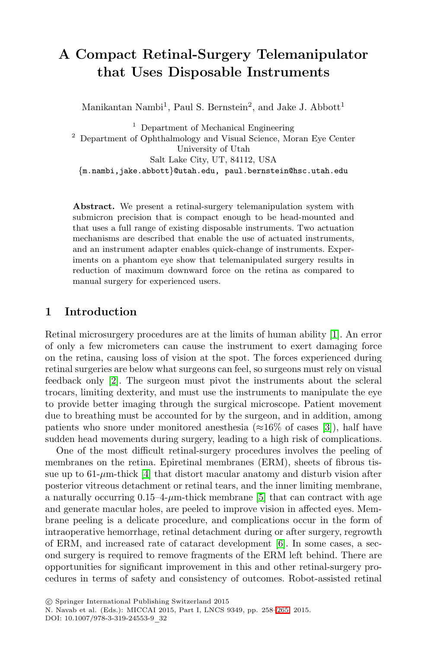# **A Compact Retinal-Surgery Telemanipulator that Uses Disposable Instruments**

Manikantan Nambi<sup>1</sup>, Paul S. Bernstein<sup>2</sup>, and Jake J. Abbott<sup>1</sup>

<sup>1</sup> Department of Mechanical Engineering <sup>2</sup> Department of Ophthalmology and Visual Science, Moran Eye Center University of Utah Salt Lake City, UT, 84112, USA *{*m.nambi,jake.abbott*}*@utah.edu, paul.bernstein@hsc.utah.edu

**Abstract.** We present a retinal-surgery telemanipulation system with submicron precision that is compact enough to be head-mounted and that uses a full range of existing disposable instruments. Two actuation mechanisms are described that enable the use of actuated instruments, and an instrument adapter enables quick-chan[ge](#page-7-0) of instruments. Experiments on a phantom eye show that telemanipulated surgery results in reduction of maximum downward force on the retina as compared to manual surgery for experienced users.

## **1 Introduction**

Retinal microsurgery procedures are at the limi[ts](#page-7-1) of human ability [1]. An error of only a few micrometers can cause the instrument to exert damaging force on the retina, causing loss of vision at the spot. The forces experienced during retinal surgeries are below what surgeons can feel, so surgeons must rely on visual feed[bac](#page-7-2)k only [2]. The surgeon must pivot the instruments about the scleral trocars, limiting dexterity, and must use the instruments to manipulate the eye to provide better imaging thro[ugh](#page-7-3) the surgical microscope. Patient movement due to breathing must be accounted for by the surgeon, and in addition, among patients who snore under monitored anesthesia ( $\approx 16\%$  of cases [3]), half have sudden head movements during surgery, leading to a high risk of complications.

One of the most difficult retinal-[su](#page-7-4)rgery procedures involves the peeling of membranes on the retina. Epiretinal membranes (ERM), sheets of fibrous tissue up to  $61-\mu$ m-thick [4] that distort macular anatomy and disturb vision after posterior vitreous detachment or retinal tears, and the inner limiting membrane, a naturally occurring  $0.15-4$ - $\mu$ m-thick membrane [5] that can contract with age and generate macular holes, are peeled to improve vision in affected eyes. Membrane peeling is a delicate procedu[re, a](#page-7-5)nd complications occur in the form of intraoperative hemorrhage, retinal detachment during or after surgery, regrowth of ERM, and increased rate of cataract development [6]. In some cases, a second surgery is required to remove fragments of the ERM left behind. There are opportunities for significant improvement in this and other retinal-surgery procedures in terms of safety and consistency of outcomes. Robot-assisted retinal

DOI: 10.1007/978-3-319-24553-9\_32

<sup>-</sup>c Springer International Publishing Switzerland 2015

N. Navab et al. (Eds.): MICCAI 2015, Part I, LNCS 9349, pp. 258–265, 2015.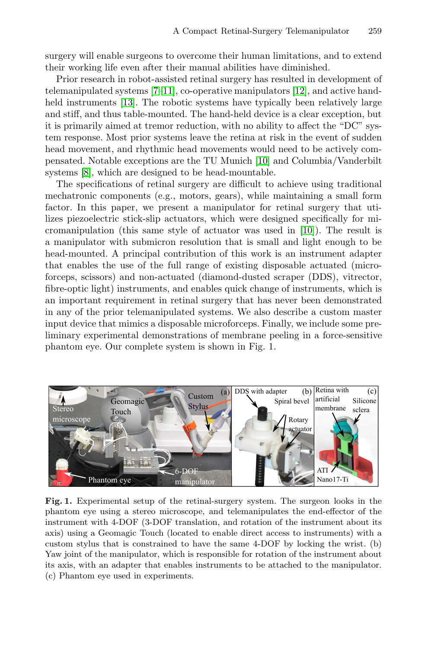surgery will enable surgeons to overcome their human limitations, and to extend their working life even after the[ir m](#page-7-6)anual abilities have diminished.

Prior research in robot-assisted retinal surgery has resulted in development of telemanipulated systems [7–11], co-operative manipulators [12], and active handheld instruments [13]. The robotic systems have typically been relatively large and stiff, and thus table-mounted. The hand-held device is a clear exception, but it is primarily aimed at tremor reduction, with no ability to affect the "DC" system response. Most prior systems leave th[e re](#page-7-6)tina at risk in the event of sudden head movement, and rhythmic head movements would need to be actively compensated. Notable exceptions are the TU Munich [10] and Columbia/Vanderbilt systems [8], which are designed to be head-mountable.

<span id="page-1-0"></span>The specifications of retinal surgery are difficult to achieve using traditional mechatronic components (e.g., motors, gears), while maintaining a small form factor. In this paper, we present a manipulator for retinal surgery that utilizes piezoelectric stick-slip actuators, which were designed specifically for micromanipulation (this same style of actuator was used in [10]). The result is a manipulator with submicron resolution that is small and light enough to be head-mounted. A principal contribution of this work is an instrument adapter that enables the use of the full range of existing disposable actuated (microforceps, scissors) and non-actuated (diamond-dusted scraper (DDS), vitrector, fibre-optic light) instruments, and enables quick change of instruments, which is an important requirement in retinal surgery that has never been demonstrated in any of the prior telemanipulated systems. We also describe a custom master input device that mimics a disposable microforceps. Finally, we include some preliminary experimental demonstrations of membrane peeling in a force-sensitive phantom eye. Our complete system is shown in Fig. 1.



**Fig. 1.** Experimental setup of the retinal-surgery system. The surgeon looks in the phantom eye using a stereo microscope, and telemanipulates the end-effector of the instrument with 4-DOF (3-DOF translation, and rotation of the instrument about its axis) using a Geomagic Touch (located to enable direct access to instruments) with a custom stylus that is constrained to have the same 4-DOF by locking the wrist. (b) Yaw joint of the manipulator, which is responsible for rotation of the instrument about its axis, with an adapter that enables instruments to be attached to the manipulator. (c) Phantom eye used in experiments.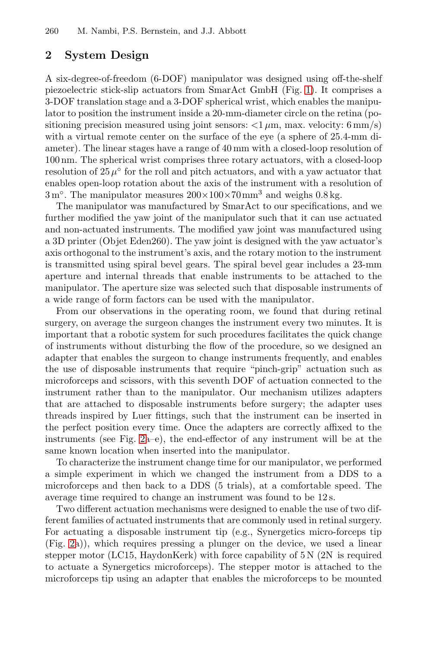## **2 System Design**

A six-degree-of-freedom (6-DOF) manipulator was designed using off-the-shelf piezoelectric stick-slip actuators from SmarAct GmbH (Fig. 1). It comprises a 3-DOF translation stage and a 3-DOF spherical wrist, which enables the manipulator to position the instrument inside a 20-mm-diameter circle on the retina (positioning precision measured using joint sensors:  $\langle 1 \mu m, \text{max. velocity: } 6 \text{ mm/s} \rangle$ with a virtual remote center on the surface of the eye (a sphere of 25.4-mm diameter). The linear stages have a range of 40 mm with a closed-loop resolution of 100 nm. The spherical wrist comprises three rotary actuators, with a closed-loop resolution of  $25 \mu^{\circ}$  for the roll and pitch actuators, and with a yaw actuator that enables open-loop rotation about the axis of the instrument with a resolution of  $3 \text{ m}^{\circ}$ . The manipulator measures  $200 \times 100 \times 70 \text{ mm}^3$  and weighs 0.8 kg.

The manipulator was manufactured by SmarAct to our specifications, and we further modified the yaw joint of the manipulator such that it can use actuated and non-actuated instruments. The modified yaw joint was manufactured using a 3D printer (Objet Eden260). The yaw joint is designed with the yaw actuator's axis orthogonal to the instrument's axis, and the rotary motion to the instrument is transmitted using spiral bevel gears. The spiral bevel gear includes a 23-mm aperture and internal threads that enable instruments to be attached to the manipulator. The aperture size was selected such that disposable instruments of a wide range of form factors can be used with the manipulator.

From our observations in the operating room, we found that during retinal surgery, on average the surgeon changes the instrument every two minutes. It is important that a robotic system for such procedures facilitates the quick change of i[nst](#page-3-0)ruments without disturbing the flow of the procedure, so we designed an adapter that enables the surgeon to change instruments frequently, and enables the use of disposable instruments that require "pinch-grip" actuation such as microforceps and scissors, with this seventh DOF of actuation connected to the instrument rather than to the manipulator. Our mechanism utilizes adapters that are attached to disposable instruments before surgery; the adapter uses threads inspired by Luer fittings, such that the instrument can be inserted in the perfect position every time. Once the adapters are correctly affixed to the instruments (see Fig. 2a–e), the end-effector of any instrument will be at the same known location when inserted into the manipulator.

To characterize the instrument change time for our manipulator, we performed a simple experiment in which we changed the instrument from a DDS to a microforceps and then back to a DDS (5 trials), at a comfortable speed. The average time required to change an instrument was found to be 12 s.

Two different actuation mechanisms were designed to enable the use of two different families of actuated instruments that are commonly used in retinal surgery. For actuating a disposable instrument tip (e.g., Synergetics micro-forceps tip (Fig. 2a)), which requires pressing a plunger on the device, we used a linear stepper motor (LC15, HaydonKerk) with force capability of 5 N (2N is required to actuate a Synergetics microforceps). The stepper motor is attached to the microforceps tip using an adapter that enables the microforceps to be mounted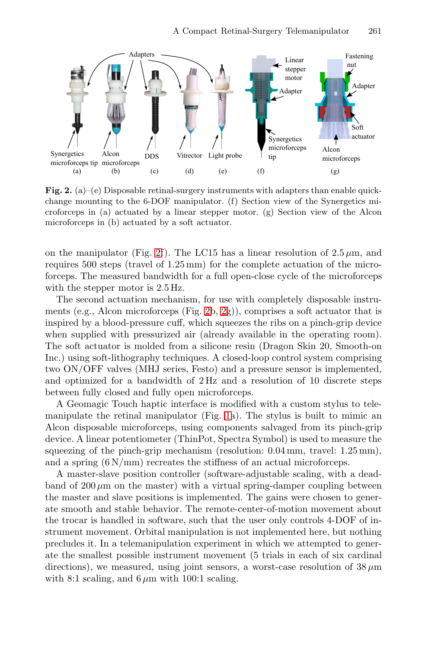<span id="page-3-0"></span>

**Fig. 2.** (a)–(e) Disposable retinal-surgery instruments with adapters than enable quickchange mounting to the 6-DOF manipulator. (f) Section view of the Synergetics microforceps in (a) actuated by a linear stepper motor. (g) Section view of the Alcon microforceps in (b) a[ctu](#page-3-0)a[te](#page-3-0)d by a soft actuator.

on the manipulator (Fig. 2f). The LC15 has a linear resolution of  $2.5 \mu m$ , and requires 500 steps (travel of 1.25 mm) for the complete actuation of the microforceps. The measured bandwidth for a full open-close cycle of the microforceps with the stepper motor is 2.5 Hz.

The second actuation mechanism, for use with completely disposable instruments (e.g., Alcon microforceps (Fig. 2b, 2g)), comprises a soft actuator that is inspired by a blood-pres[su](#page-1-0)re cuff, which squeezes the ribs on a pinch-grip device when supplied with pressurized air (already available in the operating room). The soft actuator is molded from a silicone resin (Dragon Skin 20, Smooth-on Inc.) using soft-lithography techniques. A closed-loop control system comprising two ON/OFF valves (MHJ series, Festo) and a pressure sensor is implemented, and optimized for a bandwidth of 2 Hz and a resolution of 10 discrete steps between fully closed and fully open microforceps.

A Geomagic Touch haptic interface is modified with a custom stylus to telemanipulate the retinal manipulator (Fig. 1a). The stylus is built to mimic an Alcon disposable microforceps, using components salvaged from its pinch-grip device. A linear potentiometer (ThinPot, Spectra Symbol) is used to measure the squeezing of the pinch-grip mechanism (resolution:  $0.04 \text{ mm}$ , travel:  $1.25 \text{ mm}$ ), and a spring  $(6\,\mathrm{N/mm})$  recreates the stiffness of an actual microforceps.

A master-slave position controller (software-adjustable scaling, with a deadband of  $200 \mu m$  on the master) with a virtual spring-damper coupling between the master and slave positions is implemented. The gains were chosen to generate smooth and stable behavior. The remote-center-of-motion movement about the trocar is handled in software, such that the user only controls 4-DOF of instrument movement. Orbital manipulation is not implemented here, but nothing precludes it. In a telemanipulation experiment in which we attempted to generate the smallest possible instrument movement (5 trials in each of six cardinal directions), we measured, using joint sensors, a worst-case resolution of  $38 \mu m$ with 8:1 scaling, and  $6 \mu m$  with 100:1 scaling.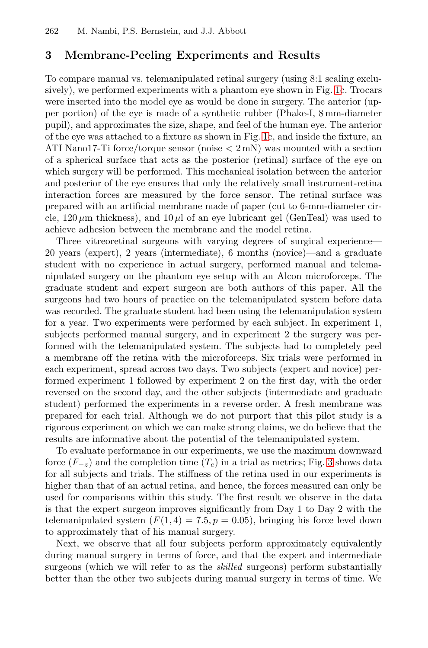#### 262 M. Nambi, P.S. Bernstein, and J.J. Abbott

## **3 Membrane-Peeling E[xp](#page-1-0)eriments and Results**

To compare manual vs. telemanipulated retinal surgery (using 8:1 scaling exclusively), we performed experiments with a phantom eye shown in Fig. 1c. Trocars were inserted into the model eye as would be done in surgery. The anterior (upper portion) of the eye is made of a synthetic rubber (Phake-I, 8 mm-diameter pupil), and approximates the size, shape, and feel of the human eye. The anterior of the eye was attached to a fixture as shown in Fig. 1c, and inside the fixture, an ATI Nano17-Ti force/torque sensor (noise *<* 2 mN) was mounted with a section of a spherical surface that acts as the posterior (retinal) surface of the eye on which surgery will be performed. This mechanical isolation between the anterior and posterior of the eye ensures that only the relatively small instrument-retina interaction forces are measured by the force sensor. The retinal surface was prepared with an artificial membrane made of paper (cut to 6-mm-diameter circle,  $120 \mu m$  thickness), and  $10 \mu l$  of an eye lubricant gel (GenTeal) was used to achieve adhesion between the membrane and the model retina.

Three vitreoretinal surgeons with varying degrees of surgical experience— 20 years (expert), 2 years (intermediate), 6 months (novice)—and a graduate student with no experience in actual surgery, performed manual and telemanipulated surgery on the phantom eye setup with an Alcon microforceps. The graduate student and expert surgeon are both authors of this paper. All the surgeons had two hours of practice on the telemanipulated system before data was recorded. The graduate student had been using the telemanipulation system for a year. Two experiments were performed by each subject. In experiment 1, subjects performed manual surgery, and in experiment 2 the surgery was performed with the telemanipulated system. The subjects had to completely peel a membrane off the retina with the microforceps. Six trials were performed in each experiment, spread across two days. Two s[ubj](#page-5-0)ects (expert and novice) performed experiment 1 followed by experiment 2 on the first day, with the order reversed on the second day, and the other subjects (intermediate and graduate student) performed the experiments in a reverse order. A fresh membrane was prepared for each trial. Although we do not purport that this pilot study is a rigorous experiment on which we can make strong claims, we do believe that the results are informative about the potential of the telemanipulated system.

To evaluate performance in our experiments, we use the maximum downward force  $(F_{-z})$  and the completion time  $(T_c)$  in a trial as metrics; Fig. 3 shows data for all subjects and trials. The stiffness of the retina used in our experiments is higher than that of an actual retina, and hence, the forces measured can only be used for comparisons within this study. The first result we observe in the data is that the expert surgeon improves significantly from Day 1 to Day 2 with the telemanipulated system  $(F(1,4) = 7.5, p = 0.05)$ , bringing his force level down to approximately that of his manual surgery.

Next, we observe that all four subjects perform approximately equivalently during manual surgery in terms of force, and that the expert and intermediate surgeons (which we will refer to as the *skilled* surgeons) perform substantially better than the other two subjects during manual surgery in terms of time. We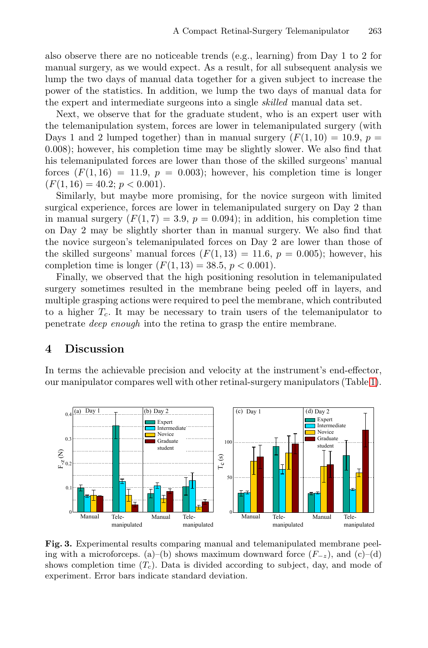also observe there are no noticeable trends (e.g., learning) from Day 1 to 2 for manual surgery, as we would expect. As a result, for all subsequent analysis we lump the two days of manual data together for a given subject to increase the power of the statistics. In addition, we lump the two days of manual data for the expert and intermediate surgeons into a single *skilled* manual data set.

Next, we observe that for the graduate student, who is an expert user with the telemanipulation system, forces are lower in telemanipulated surgery (with Days 1 and 2 lumped together) than in manual surgery  $(F(1, 10) = 10.9, p =$ 0*.*008); however, his completion time may be slightly slower. We also find that his telemanipulated forces are lower than those of the skilled surgeons' manual forces  $(F(1, 16) = 11.9, p = 0.003)$ ; however, his completion time is longer  $(F(1, 16) = 40.2; p < 0.001).$ 

<span id="page-5-0"></span>Similarly, but maybe more promising, for the novice surgeon with limited surgical experience, forces are lower in telemanipulated surgery on Day 2 than in manual surgery  $(F(1, 7) = 3.9, p = 0.094)$ ; in addition, his completion time on Day 2 may be slightly shorter than in manual surgery. We also find that the novice surgeon's telemanipulated forces on Day 2 are lower than those of the skilled surgeons' manual forces  $(F(1, 13) = 11.6, p = 0.005)$ ; however, his completion time is longer  $(F(1, 13) = 38.5, p < 0.001)$ .

Finally, we observed that the high positioning resolution in telemanipulated surgery sometimes resulted in the membrane being peel[ed](#page-6-0) off in layers, and multiple grasping actions were required to peel the membrane, which contributed to a higher  $T_c$ . It may be necessary to train users of the telemanipulator to penetrate *deep enough* into the retina to grasp the entire membrane.

### **4 Discussion**

In terms the achievable precision and velocity at the instrument's end-effector, our manipulator compares well with other retinal-surgery manipulators (Table 1).



**Fig. 3.** Experimental results comparing manual and telemanipulated membrane peeling with a microforceps. (a)–(b) shows maximum downward force (*F−<sup>z</sup>*), and (c)–(d) shows completion time  $(T_c)$ . Data is divided according to subject, day, and mode of experiment. Error bars indicate standard deviation.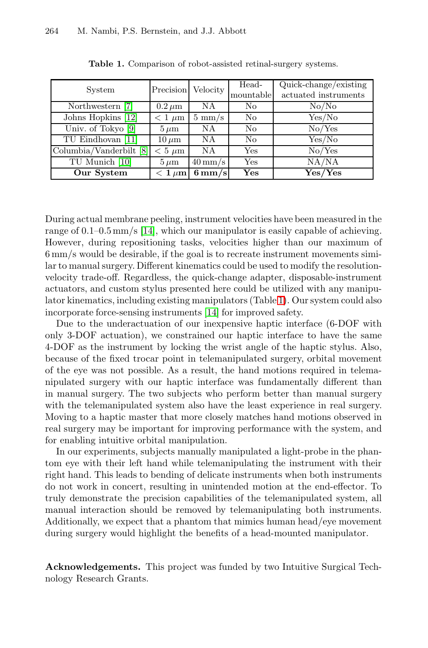| Velocity<br>NΑ<br>$5 \text{ mm/s}$ | mountable<br>No<br>No | actuated instruments<br>No/No<br>Yes/No |
|------------------------------------|-----------------------|-----------------------------------------|
|                                    |                       |                                         |
|                                    |                       |                                         |
|                                    |                       |                                         |
|                                    |                       | No/Yes                                  |
| N A                                | No                    | Yes/No                                  |
| N A                                | Yes                   | No/Yes                                  |
| $40 \,\mathrm{mm/s}$               | Yes                   | NA/NA                                   |
| $6 \,\mathrm{mm/s}$                | $\rm Yes$             | Yes/Yes                                 |
|                                    |                       | NA<br>No                                |

<span id="page-6-0"></span>**Table 1.** Comparison of robot-assisted retinal-surgery systems.

During actual mem[bran](#page-7-8)e peeling, inst[ru](#page-6-0)ment velocities have been measured in the range of 0.1–0.5mm/s [14], which our manipulator is easily capable of achieving. However, during repositioning tasks, velocities higher than our maximum of 6 mm/s would be desirable, if the goal is to recreate instrument movements similar to manual surgery. Different kinematics could be used to modify the resolutionvelocity trade-off. Regardless, the quick-change adapter, disposable-instrument actuators, and custom stylus presented here could be utilized with any manipulator kinematics, including existing manipulators (Table 1). Our system could also incorporate force-sensing instruments [14] for improved safety.

Due to the underactuation of our inexpensive haptic interface (6-DOF with only 3-DOF actuation), we constrained our haptic interface to have the same 4-DOF as the instrument by locking the wrist angle of the haptic stylus. Also, because of the fixed trocar point in telemanipulated surgery, orbital movement of the eye was not possible. As a result, the hand motions required in telemanipulated surgery with our haptic interface was fundamentally different than in manual surgery. The two subjects who perform better than manual surgery with the telemanipulated system also have the least experience in real surgery. Moving to a haptic master that more closely matches hand motions observed in real surgery may be important for improving performance with the system, and for enabling intuitive orbital manipulation.

In our experiments, subjects manually manipulated a light-probe in the phantom eye with their left hand while telemanipulating the instrument with their right hand. This leads to bending of delicate instruments when both instruments do not work in concert, resulting in unintended motion at the end-effector. To truly demonstrate the precision capabilities of the telemanipulated system, all manual interaction should be removed by telemanipulating both instruments. Additionally, we expect that a phantom that mimics human head/eye movement during surgery would highlight the benefits of a head-mounted manipulator.

**Acknowledgements.** This project was funded by two Intuitive Surgical Technology Research Grants.